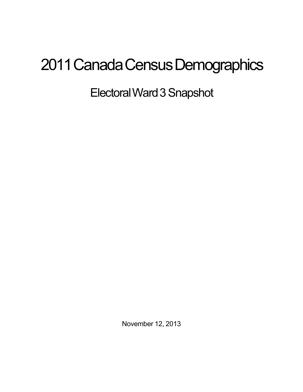## 2011 Canada Census Demographics

ElectoralWard3Snapshot

November 12, 2013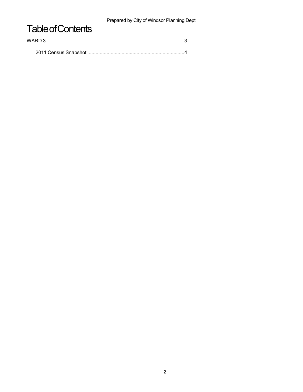Prepared by City of Windsor Planning Dept

## **Table of Contents**

| WARD 3 . |  |  |
|----------|--|--|
|          |  |  |
|          |  |  |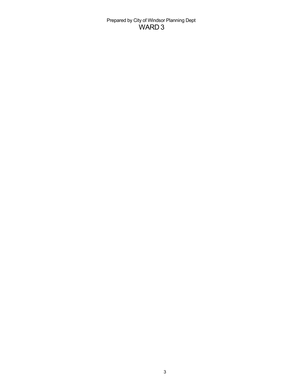Prepared by City of Windsor Planning Dept WARD 3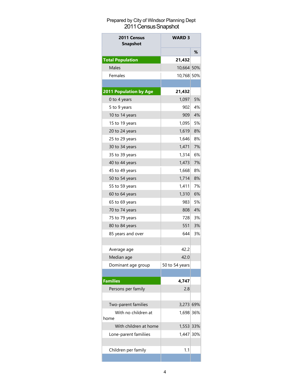## Prepared by City of Windsor Planning Dept 2011 Census Snapshot

| 2011 Census<br><b>Snapshot</b> | <b>WARD 3</b>  |     |
|--------------------------------|----------------|-----|
|                                |                | ℅   |
| <b>Total Population</b>        | 21,432         |     |
| Males                          | 10,664 50%     |     |
| Females                        | 10,768 50%     |     |
|                                |                |     |
| 2011 Population by Age         | 21,432         |     |
| 0 to 4 years                   | 1,097          | 5%  |
| 5 to 9 years                   | 9021           | 4%  |
| 10 to 14 years                 | 909            | 4%  |
| 15 to 19 years                 | 1,095          | 5%  |
| 20 to 24 years                 | 1,619          | 8%  |
| 25 to 29 years                 | 1.646          | 8%  |
| 30 to 34 years                 | 1,471          | 7%  |
| 35 to 39 years                 | 1,314          | 6%  |
| 40 to 44 years                 | 1,473          | 7%  |
| 45 to 49 years                 | 1,668          | 8%  |
| 50 to 54 years                 | 1,714          | 8%  |
| 55 to 59 years                 | 1,411          | 7%  |
| 60 to 64 years                 | 1,310          | 6%  |
| 65 to 69 years                 | 9831           | 5%  |
| 70 to 74 years                 | 808            | 4%  |
| 75 to 79 years                 | 7281           | 3%  |
| 80 to 84 years                 | 551            | 3%  |
| 85 years and over              | 644            | 3%  |
|                                |                |     |
| Average age                    | 42.2           |     |
| Median age                     | 42.0           |     |
| Dominant age group             | 50 to 54 years |     |
|                                |                |     |
| <b>Families</b>                | 4,747          |     |
| Persons per family             | 2.8            |     |
|                                |                |     |
| Two-parent families            | 3,273 69%      |     |
| With no children at            | 1,698 36%      |     |
| home                           |                |     |
| With children at home          | 1,553 33%      |     |
| Lone-parent familiies          | 1,447          | 30% |
|                                |                |     |
| Children per family            | 1.1            |     |
|                                |                |     |